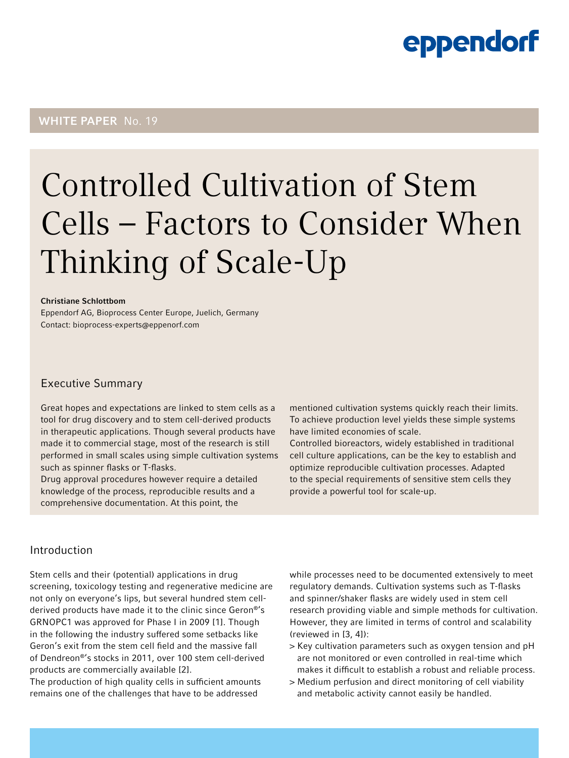### WHITE PAPER No. 19

# Controlled Cultivation of Stem Cells – Factors to Consider When Thinking of Scale-Up

#### Christiane Schlottbom

Eppendorf AG, Bioprocess Center Europe, Juelich, Germany Contact: [bioprocess-experts@eppenorf.com](mailto:bioprocess-experts%40eppenorf.com?subject=)

#### Executive Summary

Great hopes and expectations are linked to stem cells as a tool for drug discovery and to stem cell-derived products in therapeutic applications. Though several products have made it to commercial stage, most of the research is still performed in small scales using simple cultivation systems such as spinner flasks or T-flasks.

Drug approval procedures however require a detailed knowledge of the process, reproducible results and a comprehensive documentation. At this point, the

mentioned cultivation systems quickly reach their limits. To achieve production level yields these simple systems have limited economies of scale.

Controlled bioreactors, widely established in traditional cell culture applications, can be the key to establish and optimize reproducible cultivation processes. Adapted to the special requirements of sensitive stem cells they provide a powerful tool for scale-up.

#### Introduction

Stem cells and their (potential) applications in drug screening, toxicology testing and regenerative medicine are not only on everyone's lips, but several hundred stem cellderived products have made it to the clinic since Geron®'s GRNOPC1 was approved for Phase I in 2009 [1]. Though in the following the industry suffered some setbacks like Geron's exit from the stem cell field and the massive fall of Dendreon®'s stocks in 2011, over 100 stem cell-derived products are commercially available [2].

The production of high quality cells in sufficient amounts remains one of the challenges that have to be addressed

while processes need to be documented extensively to meet regulatory demands. Cultivation systems such as T-flasks and spinner/shaker flasks are widely used in stem cell research providing viable and simple methods for cultivation. However, they are limited in terms of control and scalability (reviewed in [3, 4]):

- > Key cultivation parameters such as oxygen tension and pH are not monitored or even controlled in real-time which makes it difficult to establish a robust and reliable process.
- > Medium perfusion and direct monitoring of cell viability and metabolic activity cannot easily be handled.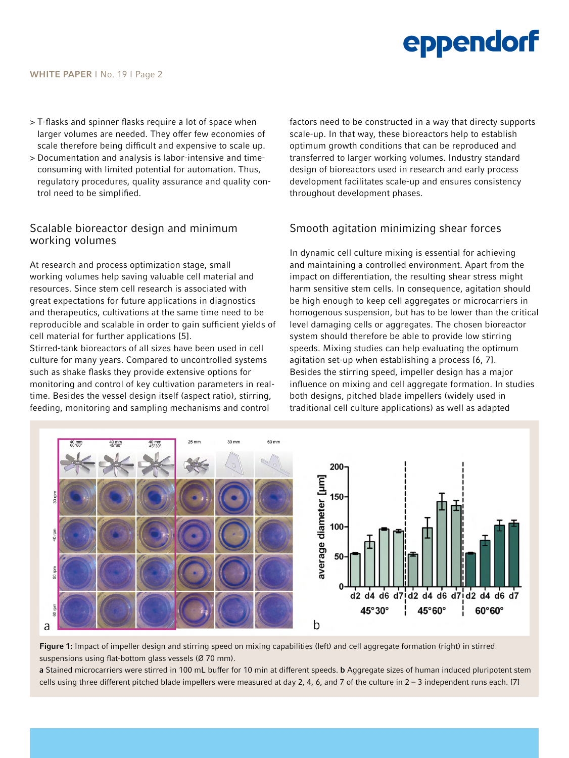- > T-flasks and spinner flasks require a lot of space when larger volumes are needed. They offer few economies of scale therefore being difficult and expensive to scale up.
- > Documentation and analysis is labor-intensive and timeconsuming with limited potential for automation. Thus, regulatory procedures, quality assurance and quality control need to be simplified.

#### Scalable bioreactor design and minimum working volumes

At research and process optimization stage, small working volumes help saving valuable cell material and resources. Since stem cell research is associated with great expectations for future applications in diagnostics and therapeutics, cultivations at the same time need to be reproducible and scalable in order to gain sufficient yields of cell material for further applications [5].

Stirred-tank bioreactors of all sizes have been used in cell culture for many years. Compared to uncontrolled systems such as shake flasks they provide extensive options for monitoring and control of key cultivation parameters in realtime. Besides the vessel design itself (aspect ratio), stirring, feeding, monitoring and sampling mechanisms and control

factors need to be constructed in a way that directy supports scale-up. In that way, these bioreactors help to establish optimum growth conditions that can be reproduced and transferred to larger working volumes. Industry standard design of bioreactors used in research and early process development facilitates scale-up and ensures consistency throughout development phases.

### Smooth agitation minimizing shear forces

In dynamic cell culture mixing is essential for achieving and maintaining a controlled environment. Apart from the impact on differentiation, the resulting shear stress might harm sensitive stem cells. In consequence, agitation should be high enough to keep cell aggregates or microcarriers in homogenous suspension, but has to be lower than the critical level damaging cells or aggregates. The chosen bioreactor system should therefore be able to provide low stirring speeds. Mixing studies can help evaluating the optimum agitation set-up when establishing a process [6, 7]. Besides the stirring speed, impeller design has a major influence on mixing and cell aggregate formation. In studies both designs, pitched blade impellers (widely used in traditional cell culture applications) as well as adapted



Figure 1: Impact of impeller design and stirring speed on mixing capabilities (left) and cell aggregate formation (right) in stirred suspensions using flat-bottom glass vessels (Ø 70 mm).

a Stained microcarriers were stirred in 100 mL buffer for 10 min at different speeds. b Aggregate sizes of human induced pluripotent stem cells using three different pitched blade impellers were measured at day 2, 4, 6, and 7 of the culture in 2 – 3 independent runs each. [7]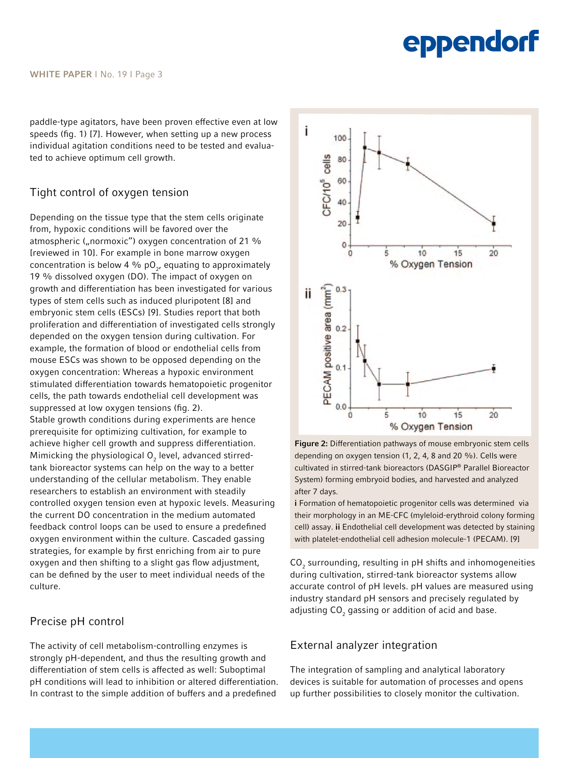paddle-type agitators, have been proven effective even at low speeds (fig. 1) [7]. However, when setting up a new process individual agitation conditions need to be tested and evaluated to achieve optimum cell growth.

### Tight control of oxygen tension

Depending on the tissue type that the stem cells originate from, hypoxic conditions will be favored over the atmospheric ("normoxic") oxygen concentration of 21 % [reviewed in 10]. For example in bone marrow oxygen concentration is below 4 % p $\mathrm{O}_{2^{\prime}}$  equating to approximately 19 % dissolved oxygen (DO). The impact of oxygen on growth and differentiation has been investigated for various types of stem cells such as induced pluripotent [8] and embryonic stem cells (ESCs) [9]. Studies report that both proliferation and differentiation of investigated cells strongly depended on the oxygen tension during cultivation. For example, the formation of blood or endothelial cells from mouse ESCs was shown to be opposed depending on the oxygen concentration: Whereas a hypoxic environment stimulated differentiation towards hematopoietic progenitor cells, the path towards endothelial cell development was suppressed at low oxygen tensions (fig. 2). Stable growth conditions during experiments are hence prerequisite for optimizing cultivation, for example to achieve higher cell growth and suppress differentiation. Mimicking the physiological  ${\mathsf O}_2$  level, advanced stirredtank bioreactor systems can help on the way to a better understanding of the cellular metabolism. They enable researchers to establish an environment with steadily controlled oxygen tension even at hypoxic levels. Measuring the current DO concentration in the medium automated feedback control loops can be used to ensure a predefined oxygen environment within the culture. Cascaded gassing strategies, for example by first enriching from air to pure oxygen and then shifting to a slight gas flow adjustment, can be defined by the user to meet individual needs of the culture.

#### Precise pH control

The activity of cell metabolism-controlling enzymes is strongly pH-dependent, and thus the resulting growth and differentiation of stem cells is affected as well: Suboptimal pH conditions will lead to inhibition or altered differentiation. In contrast to the simple addition of buffers and a predefined



Figure 2: Differentiation pathways of mouse embryonic stem cells depending on oxygen tension (1, 2, 4, 8 and 20 %). Cells were cultivated in stirred-tank bioreactors (DASGIP® Parallel Bioreactor System) forming embryoid bodies, and harvested and analyzed after 7 days.

i Formation of hematopoietic progenitor cells was determined via their morphology in an ME-CFC (myleloid-erythroid colony forming cell) assay. ii Endothelial cell development was detected by staining with platelet-endothelial cell adhesion molecule-1 (PECAM). [9]

 $CO_2$  surrounding, resulting in pH shifts and inhomogeneities during cultivation, stirred-tank bioreactor systems allow accurate control of pH levels. pH values are measured using industry standard pH sensors and precisely regulated by adjusting CO $_{\rm 2}$  gassing or addition of acid and base.

#### External analyzer integration

The integration of sampling and analytical laboratory devices is suitable for automation of processes and opens up further possibilities to closely monitor the cultivation.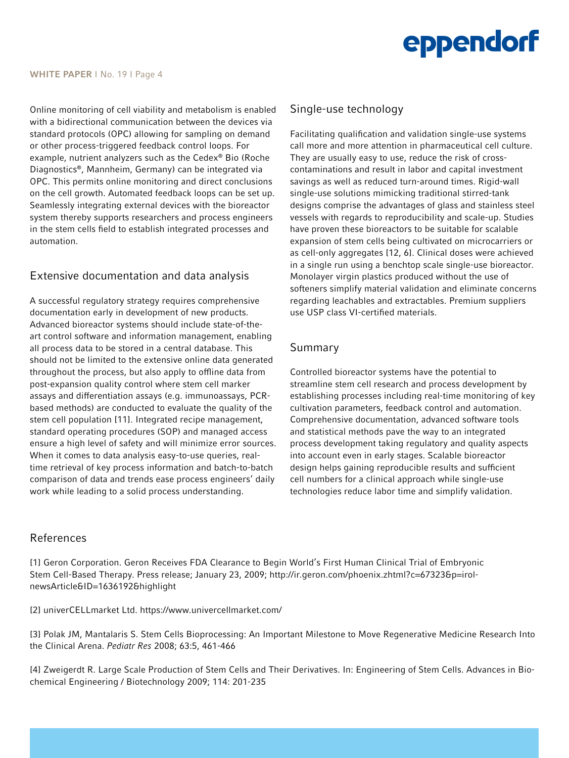

Online monitoring of cell viability and metabolism is enabled with a bidirectional communication between the devices via standard protocols (OPC) allowing for sampling on demand or other process-triggered feedback control loops. For example, nutrient analyzers such as the Cedex® Bio (Roche Diagnostics®, Mannheim, Germany) can be integrated via OPC. This permits online monitoring and direct conclusions on the cell growth. Automated feedback loops can be set up. Seamlessly integrating external devices with the bioreactor system thereby supports researchers and process engineers in the stem cells field to establish integrated processes and automation.

#### Extensive documentation and data analysis

A successful regulatory strategy requires comprehensive documentation early in development of new products. Advanced bioreactor systems should include state-of-theart control software and information management, enabling all process data to be stored in a central database. This should not be limited to the extensive online data generated throughout the process, but also apply to offline data from post-expansion quality control where stem cell marker assays and differentiation assays (e.g. immunoassays, PCRbased methods) are conducted to evaluate the quality of the stem cell population [11]. Integrated recipe management, standard operating procedures (SOP) and managed access ensure a high level of safety and will minimize error sources. When it comes to data analysis easy-to-use queries, realtime retrieval of key process information and batch-to-batch comparison of data and trends ease process engineers' daily work while leading to a solid process understanding.

#### Single-use technology

Facilitating qualification and validation single-use systems call more and more attention in pharmaceutical cell culture. They are usually easy to use, reduce the risk of crosscontaminations and result in labor and capital investment savings as well as reduced turn-around times. Rigid-wall single-use solutions mimicking traditional stirred-tank designs comprise the advantages of glass and stainless steel vessels with regards to reproducibility and scale-up. Studies have proven these bioreactors to be suitable for scalable expansion of stem cells being cultivated on microcarriers or as cell-only aggregates [12, 6]. Clinical doses were achieved in a single run using a benchtop scale single-use bioreactor. Monolayer virgin plastics produced without the use of softeners simplify material validation and eliminate concerns regarding leachables and extractables. Premium suppliers use USP class VI-certified materials.

#### Summary

Controlled bioreactor systems have the potential to streamline stem cell research and process development by establishing processes including real-time monitoring of key cultivation parameters, feedback control and automation. Comprehensive documentation, advanced software tools and statistical methods pave the way to an integrated process development taking regulatory and quality aspects into account even in early stages. Scalable bioreactor design helps gaining reproducible results and sufficient cell numbers for a clinical approach while single-use technologies reduce labor time and simplify validation.

#### References

[1] Geron Corporation. Geron Receives FDA Clearance to Begin World's First Human Clinical Trial of Embryonic Stem Cell-Based Therapy. Press release; January 23, 2009; [http://ir.geron.com/phoenix.zhtml?c=67323&p=irol](http://ir.geron.com/phoenix.zhtml?c=67323&p=irol-newsArticle&ID=1636192&highlight)[newsArticle&ID=1636192&highlight](http://ir.geron.com/phoenix.zhtml?c=67323&p=irol-newsArticle&ID=1636192&highlight)

[2] univerCELLmarket Ltd. <https://www.univercellmarket.com>/

[3] Polak JM, Mantalaris S. Stem Cells Bioprocessing: An Important Milestone to Move Regenerative Medicine Research Into the Clinical Arena. *Pediatr Res* 2008; 63:5, 461-466

[4] Zweigerdt R. Large Scale Production of Stem Cells and Their Derivatives. In: Engineering of Stem Cells. Advances in Biochemical Engineering / Biotechnology 2009; 114: 201-235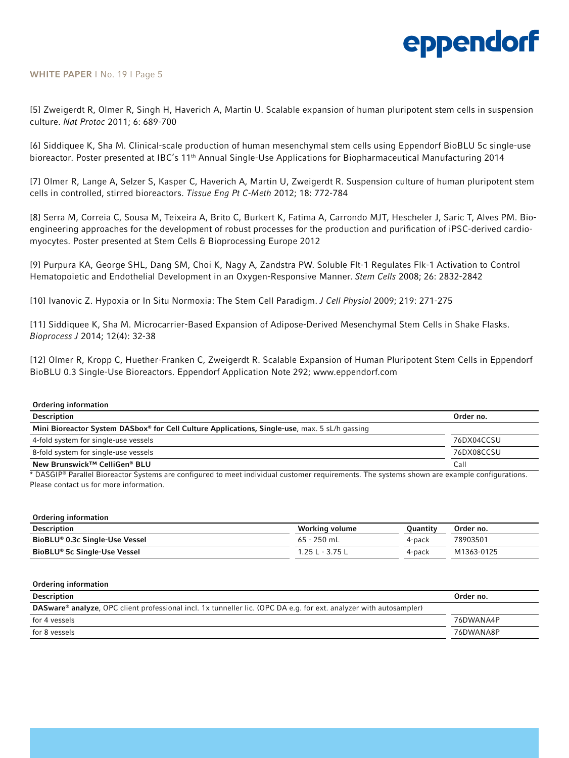#### WHITE PAPER | No. 19 | Page 5

[5] Zweigerdt R, Olmer R, Singh H, Haverich A, Martin U. Scalable expansion of human pluripotent stem cells in suspension culture. *Nat Protoc* 2011; 6: 689-700

[6] Siddiquee K, Sha M. Clinical-scale production of human mesenchymal stem cells using Eppendorf BioBLU 5c single-use bioreactor. Poster presented at IBC's 11<sup>th</sup> Annual Single-Use Applications for Biopharmaceutical Manufacturing 2014

[7] Olmer R, Lange A, Selzer S, Kasper C, Haverich A, Martin U, Zweigerdt R. Suspension culture of human pluripotent stem cells in controlled, stirred bioreactors. *Tissue Eng Pt C-Meth* 2012; 18: 772-784

[8] Serra M, Correia C, Sousa M, Teixeira A, Brito C, Burkert K, Fatima A, Carrondo MJT, Hescheler J, Saric T, Alves PM. Bioengineering approaches for the development of robust processes for the production and purification of iPSC-derived cardiomyocytes. Poster presented at Stem Cells & Bioprocessing Europe 2012

[9] Purpura KA, George SHL, Dang SM, Choi K, Nagy A, Zandstra PW. Soluble Flt-1 Regulates Flk-1 Activation to Control Hematopoietic and Endothelial Development in an Oxygen-Responsive Manner. *Stem Cells* 2008; 26: 2832-2842

[10] Ivanovic Z. Hypoxia or In Situ Normoxia: The Stem Cell Paradigm. *J Cell Physiol* 2009; 219: 271-275

[11] Siddiquee K, Sha M. Microcarrier-Based Expansion of Adipose-Derived Mesenchymal Stem Cells in Shake Flasks. *Bioprocess J* 2014; 12(4): 32-38

[12] Olmer R, Kropp C, Huether-Franken C, Zweigerdt R. Scalable Expansion of Human Pluripotent Stem Cells in Eppendorf BioBLU 0.3 Single-Use Bioreactors. Eppendorf Application Note 292; <www.eppendorf.com>

| Ordering information                                                                          |            |
|-----------------------------------------------------------------------------------------------|------------|
| Description                                                                                   | Order no.  |
| Mini Bioreactor System DASbox® for Cell Culture Applications, Single-use, max. 5 sL/h gassing |            |
| 4-fold system for single-use vessels                                                          | 76DX04CCSU |
| 8-fold system for single-use vessels                                                          | 76DX08CCSU |
| New Brunswick™ CelliGen® BLU                                                                  | Call       |

\* DASGIP® Parallel Bioreactor Systems are configured to meet individual customer requirements. The systems shown are example configurations. Please contact us for more information.

| Ordering information           |                 |          |            |
|--------------------------------|-----------------|----------|------------|
| Description                    | Working volume  | Ouantitv | Order no.  |
| BioBLU® 0.3c Single-Use Vessel | $65 - 250$ mL   | 4-pack   | 78903501   |
| BioBLU® 5c Single-Use Vessel   | 1.25 L - 3.75 L | 4-pack   | M1363-0125 |
|                                |                 |          |            |

| <b>Ordering information</b>                                                                                               |           |
|---------------------------------------------------------------------------------------------------------------------------|-----------|
| <b>Description</b>                                                                                                        | Order no. |
| <b>DASware®</b> analyze, OPC client professional incl. 1x tunneller lic. (OPC DA e.g. for ext. analyzer with autosampler) |           |
| for 4 yessels                                                                                                             | 76DWANA4P |
| for 8 vessels                                                                                                             | 76DWANA8P |